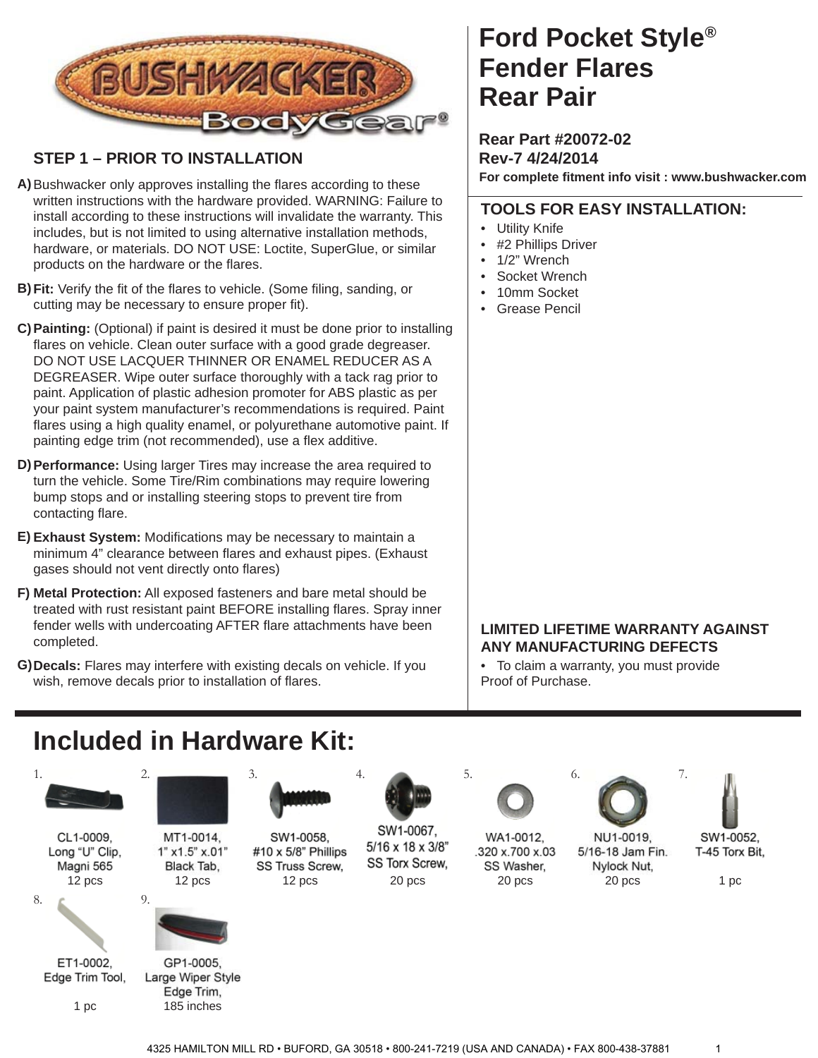

### **STEP 1 – PRIOR TO INSTALLATION**

- A) Bushwacker only approves installing the flares according to these written instructions with the hardware provided. WARNING: Failure to install according to these instructions will invalidate the warranty. This includes, but is not limited to using alternative installation methods, hardware, or materials. DO NOT USE: Loctite, SuperGlue, or similar products on the hardware or the flares.
- **B) Fit:** Verify the fit of the flares to vehicle. (Some filing, sanding, or cutting may be necessary to ensure proper fit).
- **Painting:** (Optional) if paint is desired it must be done prior to installing **C)** flares on vehicle. Clean outer surface with a good grade degreaser. DO NOT USE LACQUER THINNER OR ENAMEL REDUCER AS A DEGREASER. Wipe outer surface thoroughly with a tack rag prior to paint. Application of plastic adhesion promoter for ABS plastic as per your paint system manufacturer's recommendations is required. Paint flares using a high quality enamel, or polyurethane automotive paint. If painting edge trim (not recommended), use a flex additive.
- **Performance:** Using larger Tires may increase the area required to **D)** turn the vehicle. Some Tire/Rim combinations may require lowering bump stops and or installing steering stops to prevent tire from contacting flare.
- E) Exhaust System: Modifications may be necessary to maintain a minimum 4" clearance between flares and exhaust pipes. (Exhaust gases should not vent directly onto flares)
- **Metal Protection:** All exposed fasteners and bare metal should be **F)** treated with rust resistant paint BEFORE installing flares. Spray inner fender wells with undercoating AFTER flare attachments have been completed.
- **Decals:** Flares may interfere with existing decals on vehicle. If you **G)** wish, remove decals prior to installation of flares.

### **Ford Pocket Style® Rear Pair Fender Flares**

**Rear Part #20072-02 Rev-7 4/24/2014 For complete fi tment info visit : www.bushwacker.com**

### **TOOLS FOR EASY INSTALLATION:**

- Utility Knife
- #2 Phillips Driver
- 1/2" Wrench
- Socket Wrench
- 10mm Socket
- Grease Pencil

#### **LIMITED LIFETIME WARRANTY AGAINST ANY MANUFACTURING DEFECTS**

• To claim a warranty, you must provide Proof of Purchase.

## **Included in Hardware Kit:**



GP1-0005, Edge Trim Tool, Large Wiper Style Edge Trim, 1 pc 185 inches

ET1-0002,

SW1-0058, #10 x 5/8" Phillips SS Truss Screw,





SW1-0067. 5/16 x 18 x 3/8" **SS Torx Screw,** 



WA1-0012, .320 x.700 x.03 SS Washer,



5/16-18 Jam Fin.

Nylock Nut,



SW1-0052. T-45 Torx Bit,

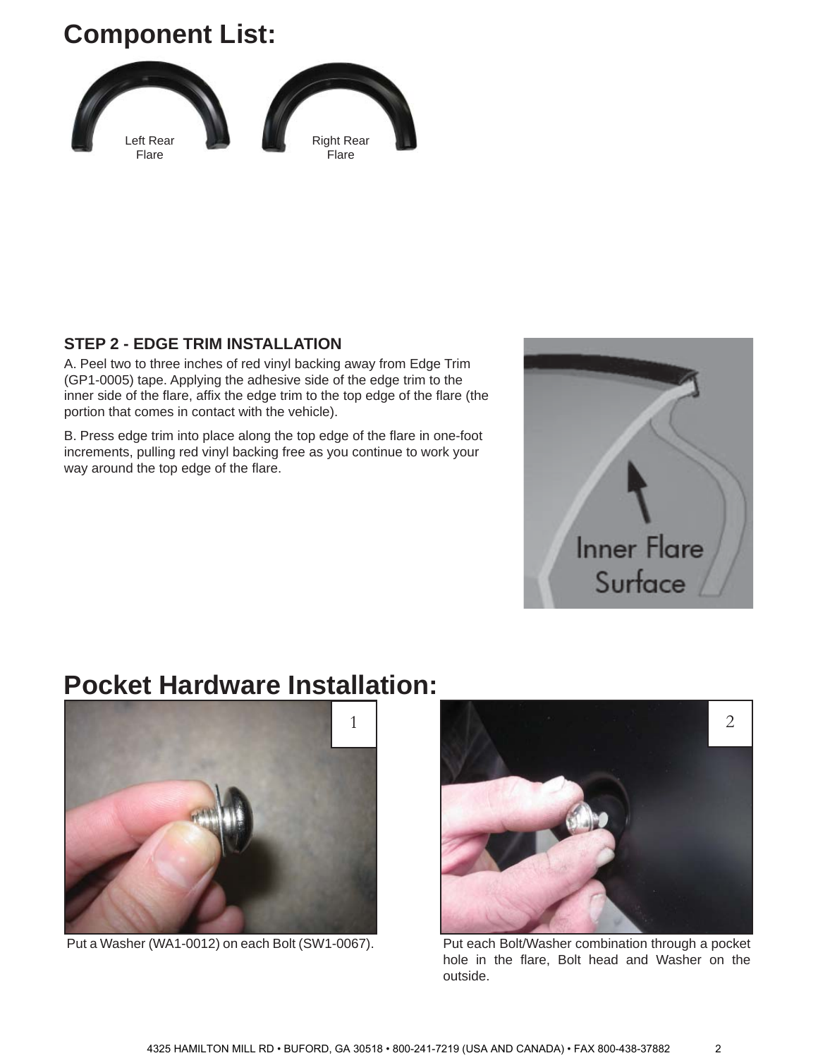# **Component List:**



#### **STEP 2 - EDGE TRIM INSTALLATION**

A. Peel two to three inches of red vinyl backing away from Edge Trim (GP1-0005) tape. Applying the adhesive side of the edge trim to the inner side of the flare, affix the edge trim to the top edge of the flare (the portion that comes in contact with the vehicle).

B. Press edge trim into place along the top edge of the flare in one-foot increments, pulling red vinyl backing free as you continue to work your way around the top edge of the flare.



### **Pocket Hardware Installation:**



Put a Washer (WA1-0012) on each Bolt (SW1-0067).



Put each Bolt/Washer combination through a pocket hole in the flare, Bolt head and Washer on the outside.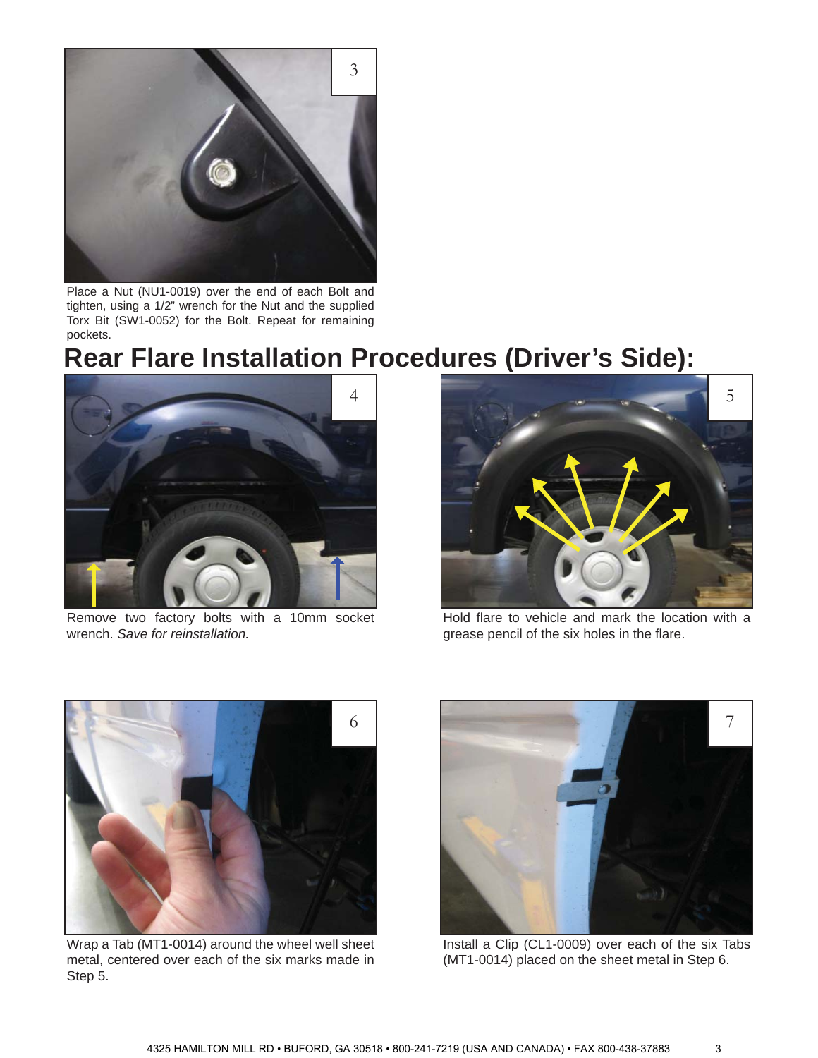

Place a Nut (NU1-0019) over the end of each Bolt and tighten, using a 1/2" wrench for the Nut and the supplied Torx Bit (SW1-0052) for the Bolt. Repeat for remaining pockets.

# **Rear Flare Installation Procedures (Driver's Side):**



Remove two factory bolts with a 10mm socket wrench. *Save for reinstallation.*



Hold flare to vehicle and mark the location with a grease pencil of the six holes in the flare.



Wrap a Tab (MT1-0014) around the wheel well sheet metal, centered over each of the six marks made in Step 5.



Install a Clip (CL1-0009) over each of the six Tabs (MT1-0014) placed on the sheet metal in Step 6.